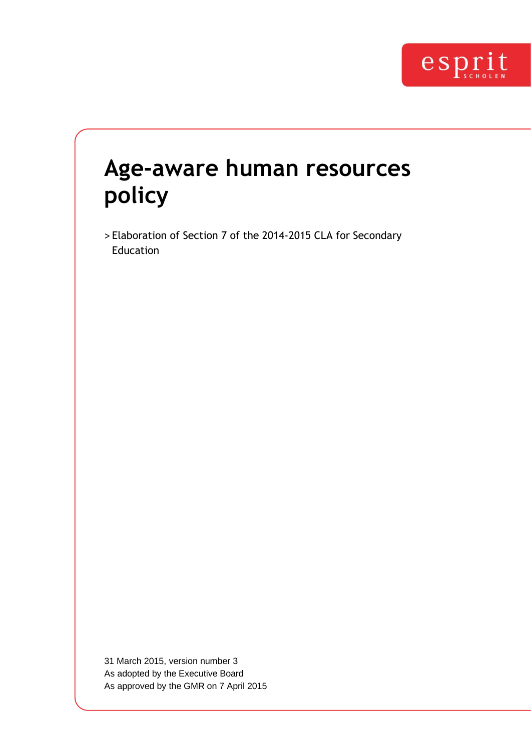

# **Age-aware human resources policy**

> Elaboration of Section 7 of the 2014-2015 CLA for Secondary Education

31 March 2015, version number 3 As adopted by the Executive Board As approved by the GMR on 7 April 2015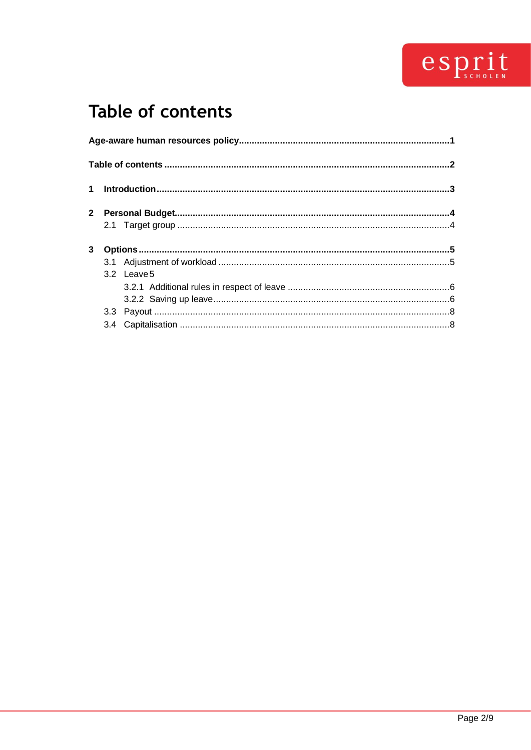

## <span id="page-1-0"></span>Table of contents

| 3.2 Leave 5 |  |
|-------------|--|
|             |  |
|             |  |
|             |  |
|             |  |
|             |  |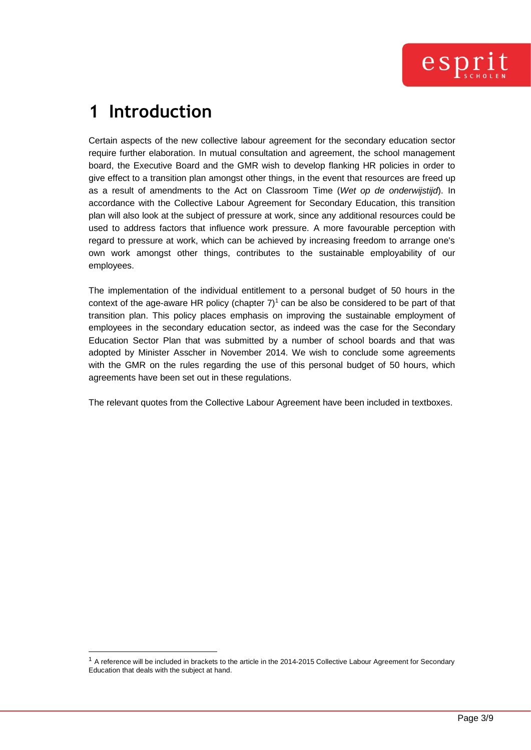## <span id="page-2-0"></span>**1 Introduction**

Certain aspects of the new collective labour agreement for the secondary education sector require further elaboration. In mutual consultation and agreement, the school management board, the Executive Board and the GMR wish to develop flanking HR policies in order to give effect to a transition plan amongst other things, in the event that resources are freed up as a result of amendments to the Act on Classroom Time (*Wet op de onderwijstijd*). In accordance with the Collective Labour Agreement for Secondary Education, this transition plan will also look at the subject of pressure at work, since any additional resources could be used to address factors that influence work pressure. A more favourable perception with regard to pressure at work, which can be achieved by increasing freedom to arrange one's own work amongst other things, contributes to the sustainable employability of our employees.

The implementation of the individual entitlement to a personal budget of 50 hours in the context of the age-aware HR policy (chapter  $7)^1$  can be also be considered to be part of that transition plan. This policy places emphasis on improving the sustainable employment of employees in the secondary education sector, as indeed was the case for the Secondary Education Sector Plan that was submitted by a number of school boards and that was adopted by Minister Asscher in November 2014. We wish to conclude some agreements with the GMR on the rules regarding the use of this personal budget of 50 hours, which agreements have been set out in these regulations.

The relevant quotes from the Collective Labour Agreement have been included in textboxes.

 $1$  A reference will be included in brackets to the article in the 2014-2015 Collective Labour Agreement for Secondary Education that deals with the subject at hand.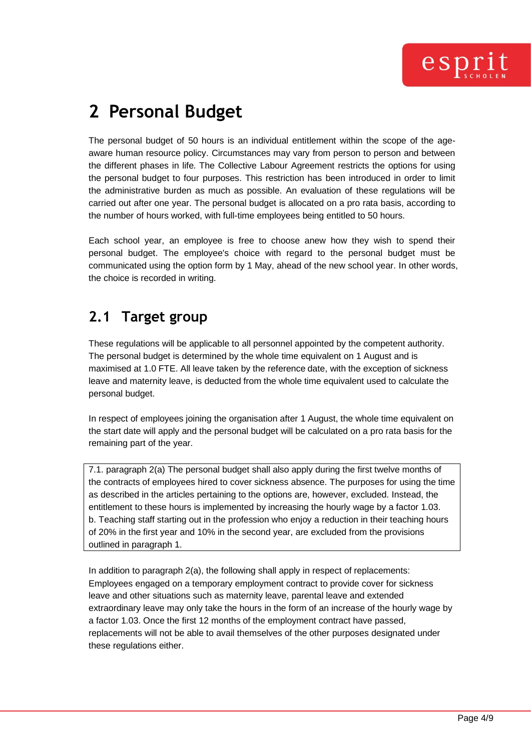## <span id="page-3-0"></span>**2 Personal Budget**

The personal budget of 50 hours is an individual entitlement within the scope of the ageaware human resource policy. Circumstances may vary from person to person and between the different phases in life. The Collective Labour Agreement restricts the options for using the personal budget to four purposes. This restriction has been introduced in order to limit the administrative burden as much as possible. An evaluation of these regulations will be carried out after one year. The personal budget is allocated on a pro rata basis, according to the number of hours worked, with full-time employees being entitled to 50 hours.

Each school year, an employee is free to choose anew how they wish to spend their personal budget. The employee's choice with regard to the personal budget must be communicated using the option form by 1 May, ahead of the new school year. In other words, the choice is recorded in writing.

## <span id="page-3-1"></span>**2.1 Target group**

These regulations will be applicable to all personnel appointed by the competent authority. The personal budget is determined by the whole time equivalent on 1 August and is maximised at 1.0 FTE. All leave taken by the reference date, with the exception of sickness leave and maternity leave, is deducted from the whole time equivalent used to calculate the personal budget.

In respect of employees joining the organisation after 1 August, the whole time equivalent on the start date will apply and the personal budget will be calculated on a pro rata basis for the remaining part of the year.

7.1. paragraph 2(a) The personal budget shall also apply during the first twelve months of the contracts of employees hired to cover sickness absence. The purposes for using the time as described in the articles pertaining to the options are, however, excluded. Instead, the entitlement to these hours is implemented by increasing the hourly wage by a factor 1.03. b. Teaching staff starting out in the profession who enjoy a reduction in their teaching hours of 20% in the first year and 10% in the second year, are excluded from the provisions outlined in paragraph 1.

In addition to paragraph 2(a), the following shall apply in respect of replacements: Employees engaged on a temporary employment contract to provide cover for sickness leave and other situations such as maternity leave, parental leave and extended extraordinary leave may only take the hours in the form of an increase of the hourly wage by a factor 1.03. Once the first 12 months of the employment contract have passed, replacements will not be able to avail themselves of the other purposes designated under these regulations either.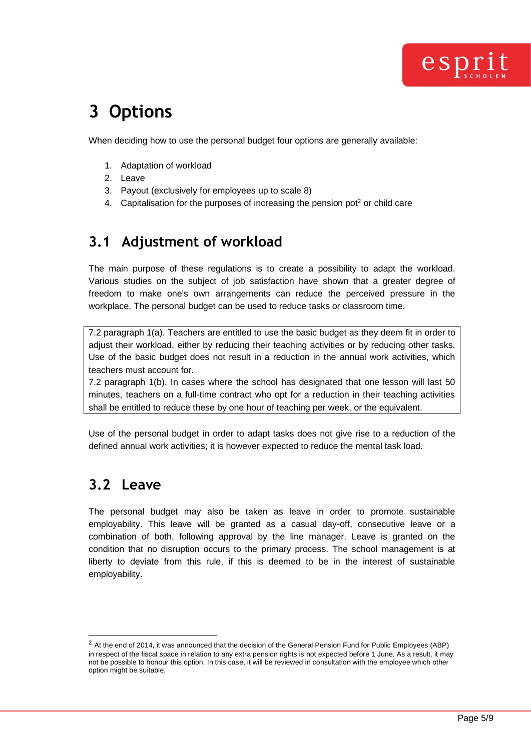

## <span id="page-4-0"></span>**3 Options**

When deciding how to use the personal budget four options are generally available:

- 1. Adaptation of workload
- 2. Leave
- 3. Payout (exclusively for employees up to scale 8)
- 4. Capitalisation for the purposes of increasing the pension pot<sup>2</sup> or child care

### <span id="page-4-1"></span>**3.1 Adjustment of workload**

The main purpose of these regulations is to create a possibility to adapt the workload. Various studies on the subject of job satisfaction have shown that a greater degree of freedom to make one's own arrangements can reduce the perceived pressure in the workplace. The personal budget can be used to reduce tasks or classroom time.

7.2 paragraph 1(a). Teachers are entitled to use the basic budget as they deem fit in order to adjust their workload, either by reducing their teaching activities or by reducing other tasks. Use of the basic budget does not result in a reduction in the annual work activities, which teachers must account for.

7.2 paragraph 1(b). In cases where the school has designated that one lesson will last 50 minutes, teachers on a full-time contract who opt for a reduction in their teaching activities shall be entitled to reduce these by one hour of teaching per week, or the equivalent.

Use of the personal budget in order to adapt tasks does not give rise to a reduction of the defined annual work activities; it is however expected to reduce the mental task load.

### <span id="page-4-2"></span>**3.2 Leave**

The personal budget may also be taken as leave in order to promote sustainable employability. This leave will be granted as a casual day-off, consecutive leave or a combination of both, following approval by the line manager. Leave is granted on the condition that no disruption occurs to the primary process. The school management is at liberty to deviate from this rule, if this is deemed to be in the interest of sustainable employability.

<sup>&</sup>lt;sup>2</sup> At the end of 2014, it was announced that the decision of the General Pension Fund for Public Employees (ABP) in respect of the fiscal space in relation to any extra pension rights is not expected before 1 June. As a result, it may not be possible to honour this option. In this case, it will be reviewed in consultation with the employee which other option might be suitable.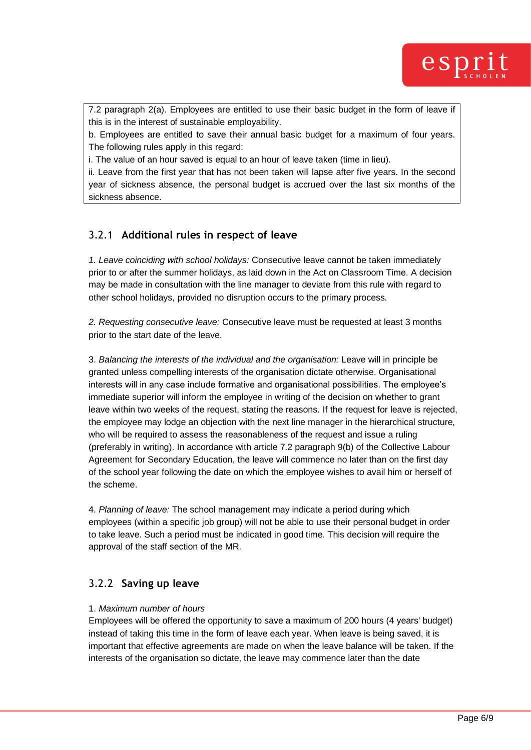

7.2 paragraph 2(a). Employees are entitled to use their basic budget in the form of leave if this is in the interest of sustainable employability.

b. Employees are entitled to save their annual basic budget for a maximum of four years. The following rules apply in this regard:

i. The value of an hour saved is equal to an hour of leave taken (time in lieu).

ii. Leave from the first year that has not been taken will lapse after five years. In the second year of sickness absence, the personal budget is accrued over the last six months of the sickness absence.

#### <span id="page-5-0"></span>3.2.1 **Additional rules in respect of leave**

*1. Leave coinciding with school holidays:* Consecutive leave cannot be taken immediately prior to or after the summer holidays, as laid down in the Act on Classroom Time. A decision may be made in consultation with the line manager to deviate from this rule with regard to other school holidays, provided no disruption occurs to the primary process.

*2. Requesting consecutive leave:* Consecutive leave must be requested at least 3 months prior to the start date of the leave.

3. *Balancing the interests of the individual and the organisation:* Leave will in principle be granted unless compelling interests of the organisation dictate otherwise. Organisational interests will in any case include formative and organisational possibilities. The employee's immediate superior will inform the employee in writing of the decision on whether to grant leave within two weeks of the request, stating the reasons. If the request for leave is rejected, the employee may lodge an objection with the next line manager in the hierarchical structure, who will be required to assess the reasonableness of the request and issue a ruling (preferably in writing). In accordance with article 7.2 paragraph 9(b) of the Collective Labour Agreement for Secondary Education, the leave will commence no later than on the first day of the school year following the date on which the employee wishes to avail him or herself of the scheme.

4. *Planning of leave:* The school management may indicate a period during which employees (within a specific job group) will not be able to use their personal budget in order to take leave. Such a period must be indicated in good time. This decision will require the approval of the staff section of the MR.

#### <span id="page-5-1"></span>3.2.2 **Saving up leave**

#### 1. *Maximum number of hours*

Employees will be offered the opportunity to save a maximum of 200 hours (4 years' budget) instead of taking this time in the form of leave each year. When leave is being saved, it is important that effective agreements are made on when the leave balance will be taken. If the interests of the organisation so dictate, the leave may commence later than the date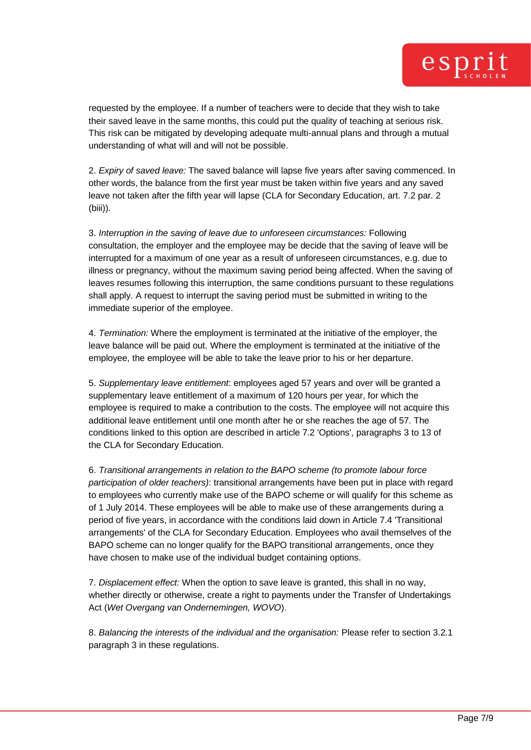requested by the employee. If a number of teachers were to decide that they wish to take their saved leave in the same months, this could put the quality of teaching at serious risk. This risk can be mitigated by developing adequate multi-annual plans and through a mutual understanding of what will and will not be possible.

2. *Expiry of saved leave:* The saved balance will lapse five years after saving commenced. In other words, the balance from the first year must be taken within five years and any saved leave not taken after the fifth year will lapse (CLA for Secondary Education, art. 7.2 par. 2 (biii)).

3. *Interruption in the saving of leave due to unforeseen circumstances:* Following consultation, the employer and the employee may be decide that the saving of leave will be interrupted for a maximum of one year as a result of unforeseen circumstances, e.g. due to illness or pregnancy, without the maximum saving period being affected. When the saving of leaves resumes following this interruption, the same conditions pursuant to these regulations shall apply. A request to interrupt the saving period must be submitted in writing to the immediate superior of the employee.

4. *Termination:* Where the employment is terminated at the initiative of the employer, the leave balance will be paid out. Where the employment is terminated at the initiative of the employee, the employee will be able to take the leave prior to his or her departure.

5. *Supplementary leave entitlement*: employees aged 57 years and over will be granted a supplementary leave entitlement of a maximum of 120 hours per year, for which the employee is required to make a contribution to the costs. The employee will not acquire this additional leave entitlement until one month after he or she reaches the age of 57. The conditions linked to this option are described in article 7.2 'Options', paragraphs 3 to 13 of the CLA for Secondary Education.

6. *Transitional arrangements in relation to the BAPO scheme (to promote labour force participation of older teachers)*: transitional arrangements have been put in place with regard to employees who currently make use of the BAPO scheme or will qualify for this scheme as of 1 July 2014. These employees will be able to make use of these arrangements during a period of five years, in accordance with the conditions laid down in Article 7.4 'Transitional arrangements' of the CLA for Secondary Education. Employees who avail themselves of the BAPO scheme can no longer qualify for the BAPO transitional arrangements, once they have chosen to make use of the individual budget containing options.

7. *Displacement effect:* When the option to save leave is granted, this shall in no way, whether directly or otherwise, create a right to payments under the Transfer of Undertakings Act (*Wet Overgang van Ondernemingen, WOVO*).

8. *Balancing the interests of the individual and the organisation:* Please refer to section 3.2.1 paragraph 3 in these regulations.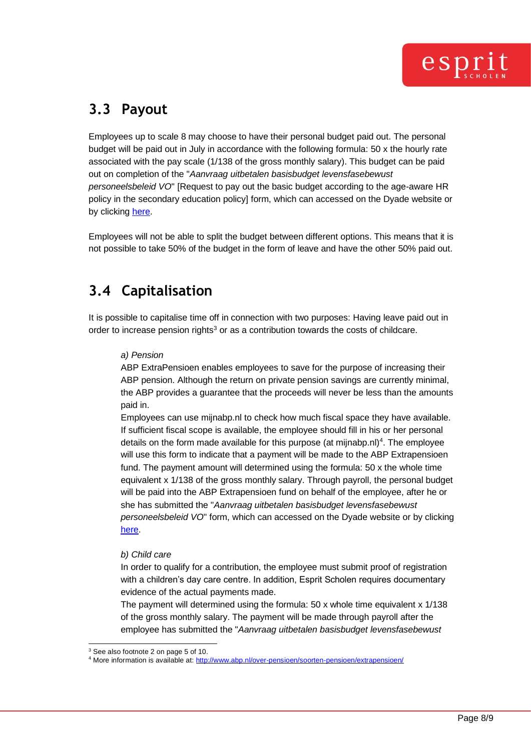### <span id="page-7-0"></span>**3.3 Payout**

Employees up to scale 8 may choose to have their personal budget paid out. The personal budget will be paid out in July in accordance with the following formula: 50 x the hourly rate associated with the pay scale (1/138 of the gross monthly salary). This budget can be paid out on completion of the "*Aanvraag uitbetalen basisbudget levensfasebewust personeelsbeleid VO*" [Request to pay out the basic budget according to the age-aware HR policy in the secondary education policy] form, which can accessed on the Dyade website or by clicking [here.](https://www.dyade.nl/dyadedir/bestanden/personeel/formulieren/Aanvraag-uitbetalen-basisbudget-levensfasebewust-personeelsbeleid-VO.pdf)

Employees will not be able to split the budget between different options. This means that it is not possible to take 50% of the budget in the form of leave and have the other 50% paid out.

## <span id="page-7-1"></span>**3.4 Capitalisation**

It is possible to capitalise time off in connection with two purposes: Having leave paid out in order to increase pension rights<sup>3</sup> or as a contribution towards the costs of childcare.

#### *a) Pension*

ABP ExtraPensioen enables employees to save for the purpose of increasing their ABP pension. Although the return on private pension savings are currently minimal, the ABP provides a guarantee that the proceeds will never be less than the amounts paid in.

Employees can use mijnabp.nl to check how much fiscal space they have available. If sufficient fiscal scope is available, the employee should fill in his or her personal details on the form made available for this purpose (at mijnabp.nl)<sup>4</sup>. The employee will use this form to indicate that a payment will be made to the ABP Extrapensioen fund. The payment amount will determined using the formula: 50 x the whole time equivalent x 1/138 of the gross monthly salary. Through payroll, the personal budget will be paid into the ABP Extrapensioen fund on behalf of the employee, after he or she has submitted the "*Aanvraag uitbetalen basisbudget levensfasebewust personeelsbeleid VO*" form, which can accessed on the Dyade website or by clicking [here.](http://www.dyade.nl/dyadedir/bestanden/personeel/formulieren/Aanvraag%20uitbetalen%20basisbudget%20levensfasebewust%20personeelsbeleid%20VO.pdf)

#### *b) Child care*

In order to qualify for a contribution, the employee must submit proof of registration with a children's day care centre. In addition, Esprit Scholen requires documentary evidence of the actual payments made.

The payment will determined using the formula: 50 x whole time equivalent x 1/138 of the gross monthly salary. The payment will be made through payroll after the employee has submitted the "*Aanvraag uitbetalen basisbudget levensfasebewust* 

<sup>3</sup> See also footnote 2 on page 5 of 10.

<sup>4</sup> More information is available at: <http://www.abp.nl/over-pensioen/soorten-pensioen/extrapensioen/>